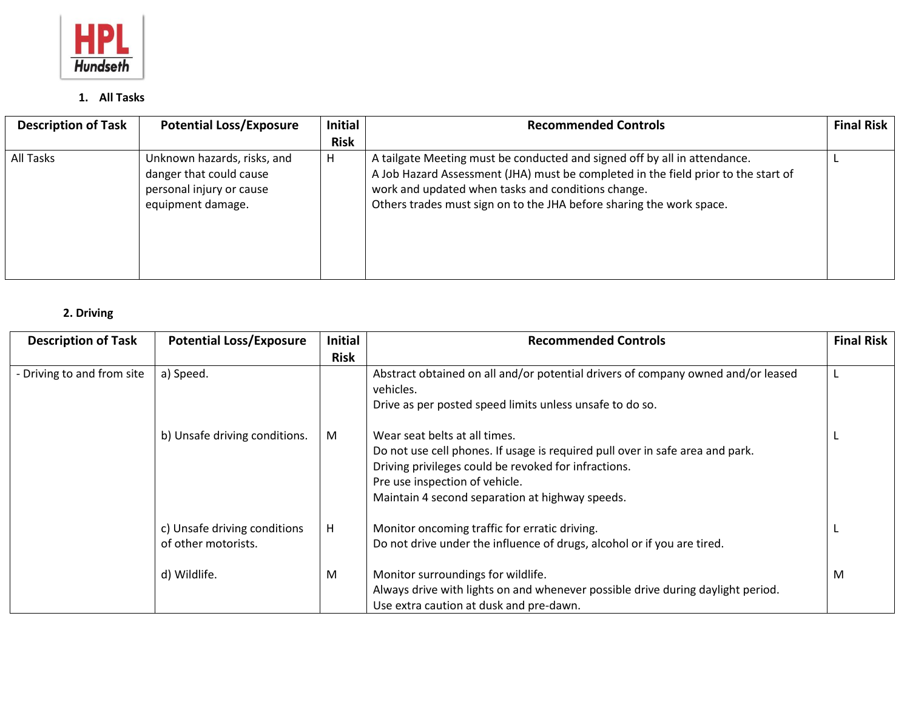

## **1. All Tasks**

| <b>Description of Task</b> | <b>Potential Loss/Exposure</b>                                                                          | <b>Initial</b> | <b>Recommended Controls</b>                                                                                                                                                                                                                                                                   | <b>Final Risk</b> |
|----------------------------|---------------------------------------------------------------------------------------------------------|----------------|-----------------------------------------------------------------------------------------------------------------------------------------------------------------------------------------------------------------------------------------------------------------------------------------------|-------------------|
|                            |                                                                                                         | <b>Risk</b>    |                                                                                                                                                                                                                                                                                               |                   |
| All Tasks                  | Unknown hazards, risks, and<br>danger that could cause<br>personal injury or cause<br>equipment damage. | H              | A tailgate Meeting must be conducted and signed off by all in attendance.<br>A Job Hazard Assessment (JHA) must be completed in the field prior to the start of<br>work and updated when tasks and conditions change.<br>Others trades must sign on to the JHA before sharing the work space. |                   |

## **2. Driving**

| <b>Description of Task</b> | <b>Potential Loss/Exposure</b> | <b>Initial</b> | <b>Recommended Controls</b>                                                                   | <b>Final Risk</b> |
|----------------------------|--------------------------------|----------------|-----------------------------------------------------------------------------------------------|-------------------|
|                            |                                | <b>Risk</b>    |                                                                                               |                   |
| - Driving to and from site | a) Speed.                      |                | Abstract obtained on all and/or potential drivers of company owned and/or leased<br>vehicles. |                   |
|                            |                                |                | Drive as per posted speed limits unless unsafe to do so.                                      |                   |
|                            | b) Unsafe driving conditions.  | M              | Wear seat belts at all times.                                                                 |                   |
|                            |                                |                | Do not use cell phones. If usage is required pull over in safe area and park.                 |                   |
|                            |                                |                | Driving privileges could be revoked for infractions.                                          |                   |
|                            |                                |                | Pre use inspection of vehicle.                                                                |                   |
|                            |                                |                | Maintain 4 second separation at highway speeds.                                               |                   |
|                            | c) Unsafe driving conditions   | H              | Monitor oncoming traffic for erratic driving.                                                 |                   |
|                            | of other motorists.            |                | Do not drive under the influence of drugs, alcohol or if you are tired.                       |                   |
|                            | d) Wildlife.                   | M              | Monitor surroundings for wildlife.                                                            | M                 |
|                            |                                |                | Always drive with lights on and whenever possible drive during daylight period.               |                   |
|                            |                                |                | Use extra caution at dusk and pre-dawn.                                                       |                   |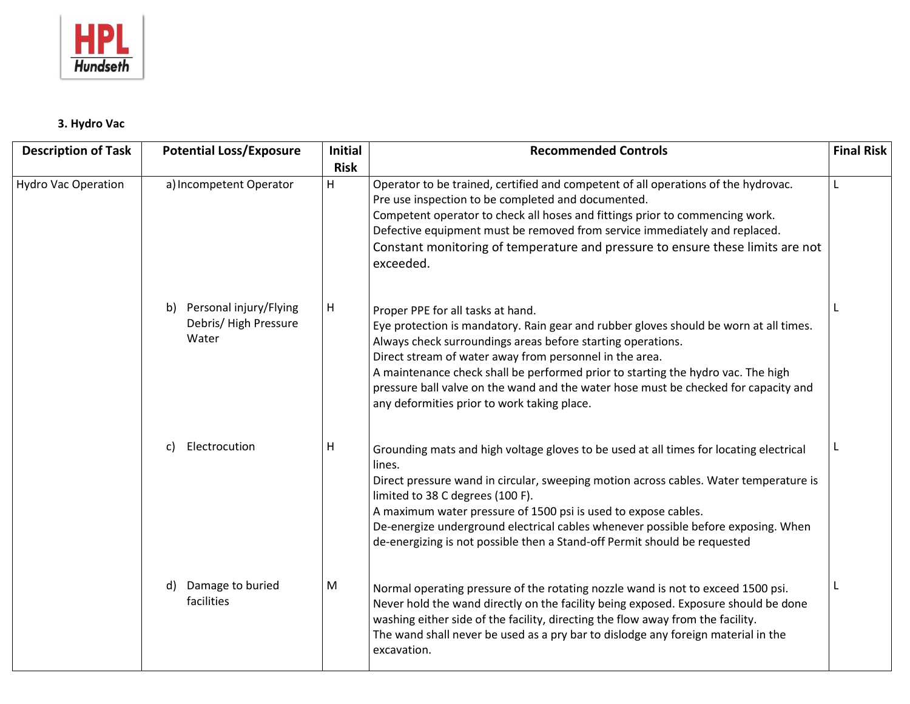

## **3. Hydro Vac**

| <b>Description of Task</b> | <b>Potential Loss/Exposure</b>                                 | <b>Initial</b><br><b>Risk</b> | <b>Recommended Controls</b>                                                                                                                                                                                                                                                                                                                                                                                                                                                    | <b>Final Risk</b> |
|----------------------------|----------------------------------------------------------------|-------------------------------|--------------------------------------------------------------------------------------------------------------------------------------------------------------------------------------------------------------------------------------------------------------------------------------------------------------------------------------------------------------------------------------------------------------------------------------------------------------------------------|-------------------|
| <b>Hydro Vac Operation</b> | a) Incompetent Operator                                        | H                             | Operator to be trained, certified and competent of all operations of the hydrovac.<br>Pre use inspection to be completed and documented.<br>Competent operator to check all hoses and fittings prior to commencing work.<br>Defective equipment must be removed from service immediately and replaced.<br>Constant monitoring of temperature and pressure to ensure these limits are not<br>exceeded.                                                                          | L                 |
|                            | Personal injury/Flying<br>b)<br>Debris/ High Pressure<br>Water | H                             | Proper PPE for all tasks at hand.<br>Eye protection is mandatory. Rain gear and rubber gloves should be worn at all times.<br>Always check surroundings areas before starting operations.<br>Direct stream of water away from personnel in the area.<br>A maintenance check shall be performed prior to starting the hydro vac. The high<br>pressure ball valve on the wand and the water hose must be checked for capacity and<br>any deformities prior to work taking place. |                   |
|                            | Electrocution<br>C)                                            | H                             | Grounding mats and high voltage gloves to be used at all times for locating electrical<br>lines.<br>Direct pressure wand in circular, sweeping motion across cables. Water temperature is<br>limited to 38 C degrees (100 F).<br>A maximum water pressure of 1500 psi is used to expose cables.<br>De-energize underground electrical cables whenever possible before exposing. When<br>de-energizing is not possible then a Stand-off Permit should be requested              |                   |
|                            | Damage to buried<br>d)<br>facilities                           | M                             | Normal operating pressure of the rotating nozzle wand is not to exceed 1500 psi.<br>Never hold the wand directly on the facility being exposed. Exposure should be done<br>washing either side of the facility, directing the flow away from the facility.<br>The wand shall never be used as a pry bar to dislodge any foreign material in the<br>excavation.                                                                                                                 |                   |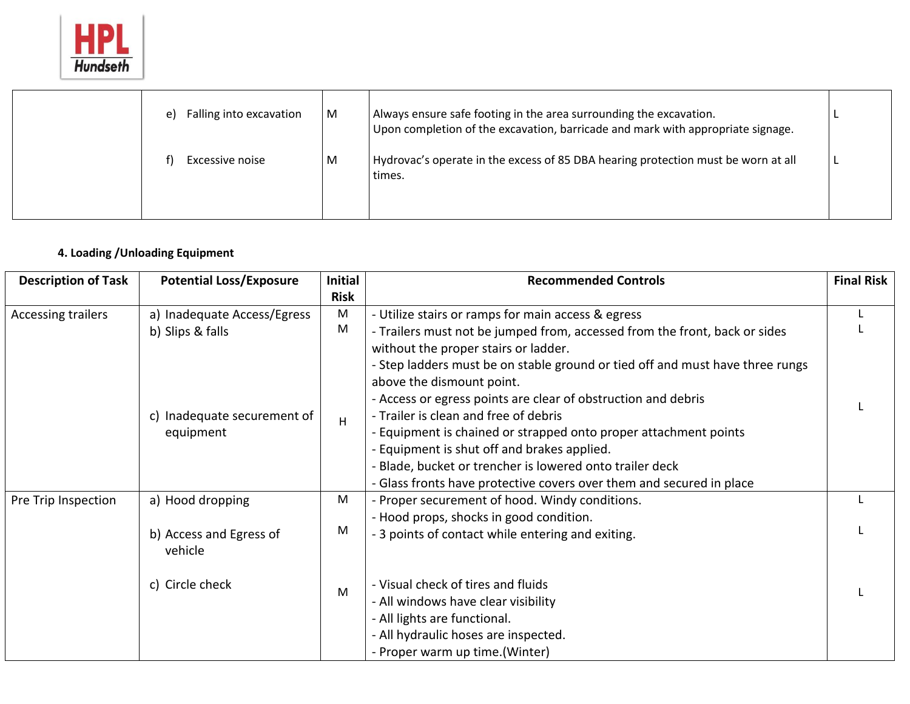

| Falling into excavation<br>e) | M | Always ensure safe footing in the area surrounding the excavation.<br>Upon completion of the excavation, barricade and mark with appropriate signage. |  |
|-------------------------------|---|-------------------------------------------------------------------------------------------------------------------------------------------------------|--|
| Excessive noise               | M | Hydrovac's operate in the excess of 85 DBA hearing protection must be worn at all<br>times.                                                           |  |

## **4. Loading /Unloading Equipment**

| <b>Description of Task</b> | <b>Potential Loss/Exposure</b>     | <b>Initial</b> | <b>Recommended Controls</b>                                                                                        | <b>Final Risk</b> |
|----------------------------|------------------------------------|----------------|--------------------------------------------------------------------------------------------------------------------|-------------------|
|                            |                                    | <b>Risk</b>    |                                                                                                                    |                   |
| <b>Accessing trailers</b>  | a) Inadequate Access/Egress        | M              | - Utilize stairs or ramps for main access & egress                                                                 |                   |
|                            | b) Slips & falls                   | M              | - Trailers must not be jumped from, accessed from the front, back or sides<br>without the proper stairs or ladder. |                   |
|                            |                                    |                | - Step ladders must be on stable ground or tied off and must have three rungs<br>above the dismount point.         |                   |
|                            |                                    |                | - Access or egress points are clear of obstruction and debris                                                      |                   |
|                            | c) Inadequate securement of        | H              | - Trailer is clean and free of debris                                                                              |                   |
|                            | equipment                          |                | - Equipment is chained or strapped onto proper attachment points                                                   |                   |
|                            |                                    |                | - Equipment is shut off and brakes applied.                                                                        |                   |
|                            |                                    |                | - Blade, bucket or trencher is lowered onto trailer deck                                                           |                   |
|                            |                                    |                | - Glass fronts have protective covers over them and secured in place                                               |                   |
| Pre Trip Inspection        | a) Hood dropping                   | M              | - Proper securement of hood. Windy conditions.                                                                     |                   |
|                            |                                    |                | - Hood props, shocks in good condition.                                                                            |                   |
|                            | b) Access and Egress of<br>vehicle | M              | - 3 points of contact while entering and exiting.                                                                  |                   |
|                            | c) Circle check                    | M              | - Visual check of tires and fluids                                                                                 |                   |
|                            |                                    |                | - All windows have clear visibility                                                                                |                   |
|                            |                                    |                | - All lights are functional.                                                                                       |                   |
|                            |                                    |                | - All hydraulic hoses are inspected.                                                                               |                   |
|                            |                                    |                | - Proper warm up time.(Winter)                                                                                     |                   |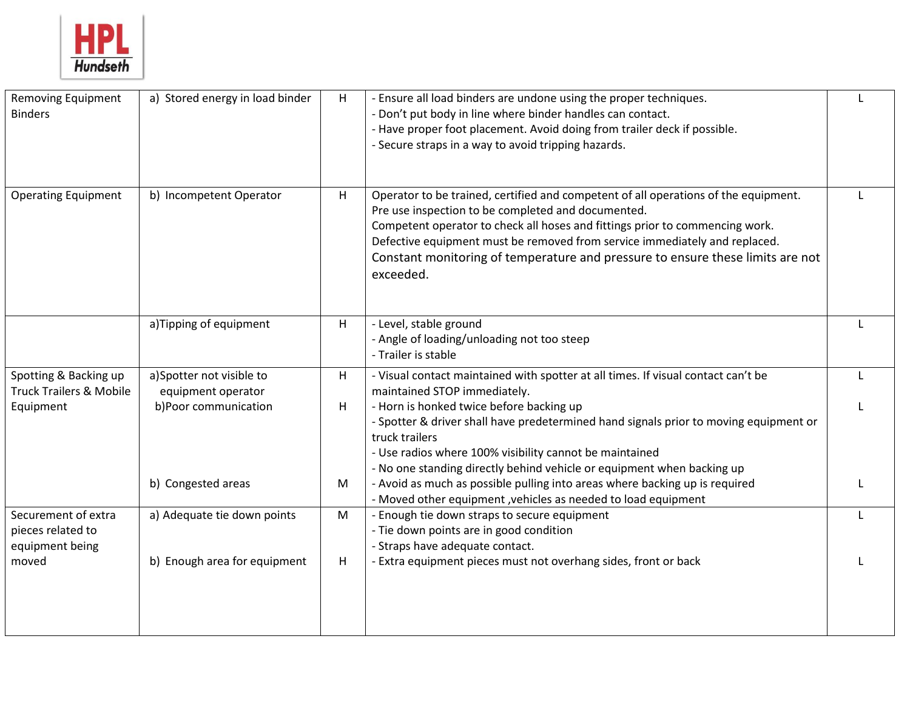

| <b>Removing Equipment</b><br><b>Binders</b>                 | a) Stored energy in load binder                | H | - Ensure all load binders are undone using the proper techniques.<br>- Don't put body in line where binder handles can contact.<br>- Have proper foot placement. Avoid doing from trailer deck if possible.<br>- Secure straps in a way to avoid tripping hazards.                                                                                                                                     |  |
|-------------------------------------------------------------|------------------------------------------------|---|--------------------------------------------------------------------------------------------------------------------------------------------------------------------------------------------------------------------------------------------------------------------------------------------------------------------------------------------------------------------------------------------------------|--|
| <b>Operating Equipment</b>                                  | b) Incompetent Operator                        | H | Operator to be trained, certified and competent of all operations of the equipment.<br>Pre use inspection to be completed and documented.<br>Competent operator to check all hoses and fittings prior to commencing work.<br>Defective equipment must be removed from service immediately and replaced.<br>Constant monitoring of temperature and pressure to ensure these limits are not<br>exceeded. |  |
|                                                             | a)Tipping of equipment                         | H | - Level, stable ground<br>- Angle of loading/unloading not too steep<br>- Trailer is stable                                                                                                                                                                                                                                                                                                            |  |
| Spotting & Backing up<br><b>Truck Trailers &amp; Mobile</b> | a)Spotter not visible to<br>equipment operator | H | - Visual contact maintained with spotter at all times. If visual contact can't be<br>maintained STOP immediately.                                                                                                                                                                                                                                                                                      |  |
| Equipment                                                   | b)Poor communication                           | H | - Horn is honked twice before backing up<br>- Spotter & driver shall have predetermined hand signals prior to moving equipment or<br>truck trailers<br>- Use radios where 100% visibility cannot be maintained<br>- No one standing directly behind vehicle or equipment when backing up                                                                                                               |  |
|                                                             | b) Congested areas                             | M | - Avoid as much as possible pulling into areas where backing up is required<br>- Moved other equipment , vehicles as needed to load equipment                                                                                                                                                                                                                                                          |  |
| Securement of extra<br>pieces related to<br>equipment being | a) Adequate tie down points                    | M | - Enough tie down straps to secure equipment<br>- Tie down points are in good condition<br>- Straps have adequate contact.                                                                                                                                                                                                                                                                             |  |
| moved                                                       | b) Enough area for equipment                   | H | - Extra equipment pieces must not overhang sides, front or back                                                                                                                                                                                                                                                                                                                                        |  |